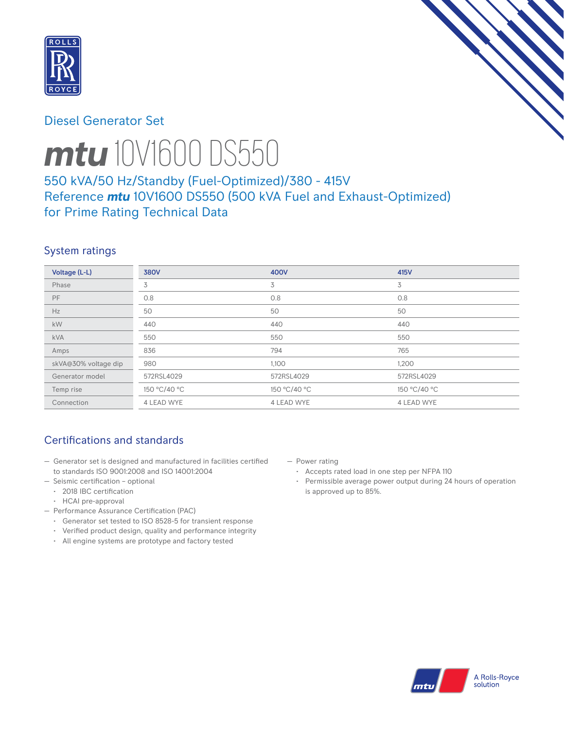

## Diesel Generator Set



# *mtu* 10V1600 DS550

# 550 kVA/50 Hz/Standby (Fuel-Optimized)/380 - 415V Reference *mtu* 10V1600 DS550 (500 kVA Fuel and Exhaust-Optimized) for Prime Rating Technical Data

# System ratings

| Voltage (L-L)        | <b>380V</b>  | 400V         | 415V         |
|----------------------|--------------|--------------|--------------|
| Phase                | 3            | 3            | 3            |
| <b>PF</b>            | 0.8          | 0.8          | 0.8          |
| Hz                   | 50           | 50           | 50           |
| kW                   | 440          | 440          | 440          |
| <b>kVA</b>           | 550          | 550          | 550          |
| Amps                 | 836          | 794          | 765          |
| skVA@30% voltage dip | 980          | 1,100        | 1,200        |
| Generator model      | 572RSL4029   | 572RSL4029   | 572RSL4029   |
| Temp rise            | 150 °C/40 °C | 150 °C/40 °C | 150 °C/40 °C |
| Connection           | 4 LEAD WYE   | 4 LEAD WYE   | 4 LEAD WYE   |

# Certifications and standards

- Generator set is designed and manufactured in facilities certified to standards ISO 9001:2008 and ISO 14001:2004
- Seismic certification optional
	- 2018 IBC certification
	- HCAI pre-approval
- Performance Assurance Certification (PAC)
	- Generator set tested to ISO 8528-5 for transient response
	- Verified product design, quality and performance integrity
	- All engine systems are prototype and factory tested
- Power rating
	- Accepts rated load in one step per NFPA 110
	- Permissible average power output during 24 hours of operation is approved up to 85%.

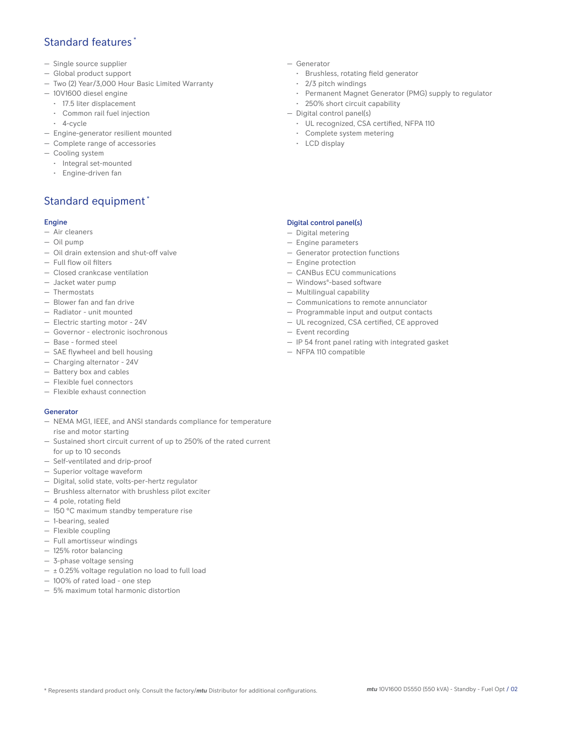## Standard features \*

- Single source supplier
- Global product support
- Two (2) Year/3,000 Hour Basic Limited Warranty
- 10V1600 diesel engine
	- 17.5 liter displacement
	- Common rail fuel injection
	- 4-cycle
- Engine-generator resilient mounted
- Complete range of accessories
- Cooling system
- Integral set-mounted
	- Engine-driven fan

## Standard equipment \*

#### Engine

- Air cleaners
- Oil pump
- Oil drain extension and shut-off valve
- Full flow oil filters
- Closed crankcase ventilation
- Jacket water pump
- Thermostats
- Blower fan and fan drive
- Radiator unit mounted
- Electric starting motor 24V
- Governor electronic isochronous
- Base formed steel
- SAE flywheel and bell housing
- Charging alternator 24V
- Battery box and cables
- Flexible fuel connectors
- Flexible exhaust connection

#### Generator

- NEMA MG1, IEEE, and ANSI standards compliance for temperature rise and motor starting
- Sustained short circuit current of up to 250% of the rated current for up to 10 seconds
- Self-ventilated and drip-proof
- Superior voltage waveform
- Digital, solid state, volts-per-hertz regulator
- Brushless alternator with brushless pilot exciter
- 4 pole, rotating field
- 150 °C maximum standby temperature rise
- 1-bearing, sealed
- Flexible coupling
- Full amortisseur windings
- 125% rotor balancing
- 3-phase voltage sensing
- $\pm$  0.25% voltage regulation no load to full load
- 100% of rated load one step
- 5% maximum total harmonic distortion
- Generator
	- Brushless, rotating field generator
	- 2/3 pitch windings
	- Permanent Magnet Generator (PMG) supply to regulator
- 250% short circuit capability
- Digital control panel(s)
	- UL recognized, CSA certified, NFPA 110
	- Complete system metering
	- LCD display

### Digital control panel(s)

- Digital metering
- Engine parameters
- Generator protection functions
- Engine protection
- CANBus ECU communications
- Windows®-based software
- Multilingual capability
- Communications to remote annunciator
- Programmable input and output contacts
- UL recognized, CSA certified, CE approved
- Event recording
- IP 54 front panel rating with integrated gasket
- NFPA 110 compatible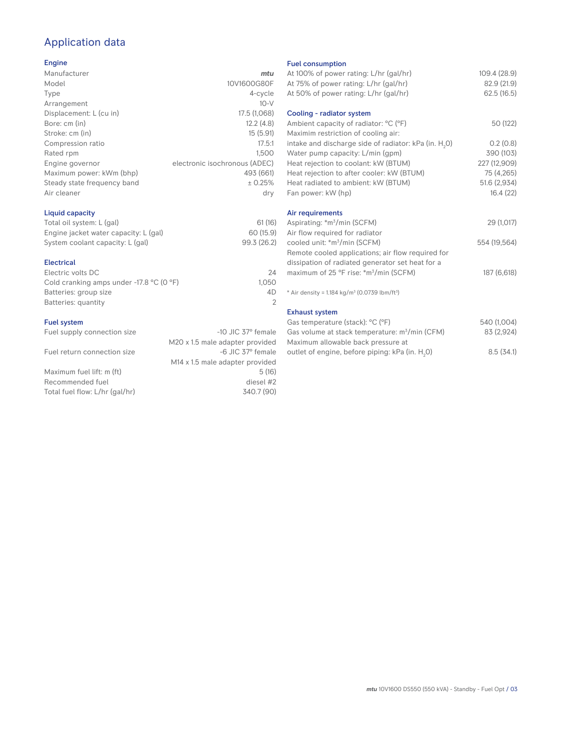# Application data

#### Engine

| Manufacturer                | mtu                           |
|-----------------------------|-------------------------------|
| Model                       | 10V1600G80F                   |
| Type                        | 4-cycle                       |
| Arrangement                 | $10-V$                        |
| Displacement: L (cu in)     | 17.5 (1,068)                  |
| Bore: cm (in)               | 12.2(4.8)                     |
| Stroke: cm (in)             | 15(5.91)                      |
| Compression ratio           | 17.5:1                        |
| Rated rpm                   | 1.500                         |
| Engine governor             | electronic isochronous (ADEC) |
| Maximum power: kWm (bhp)    | 493 (661)                     |
| Steady state frequency band | ± 0.25%                       |
| Air cleaner                 | dry                           |
|                             |                               |

## Liquid capacity

| Total oil system: L (gal)             | 61(16)      |
|---------------------------------------|-------------|
| Engine jacket water capacity: L (gal) | 60 (15.9)   |
| System coolant capacity: L (gal)      | 99.3 (26.2) |

#### Electrical

| 24    |
|-------|
| 1.050 |
| 4D.   |
|       |
|       |

#### Fuel system

| Fuel supply connection size    | $-10$ JIC 37 $\degree$ female               |
|--------------------------------|---------------------------------------------|
|                                | M20 x 1.5 male adapter provided             |
| Fuel return connection size    | -6 JIC 37° female                           |
|                                | M <sub>14</sub> x 1.5 male adapter provided |
| Maximum fuel lift: m (ft)      | 5(16)                                       |
| Recommended fuel               | diesel #2                                   |
| Total fuel flow: L/hr (gal/hr) | 340.7 (90)                                  |
|                                |                                             |

#### Fuel consumption

| ו טטו טטווטטווואַנוטוו<br>At 100% of power rating: L/hr (gal/hr)     | 109.4 (28.9) |
|----------------------------------------------------------------------|--------------|
| At 75% of power rating: L/hr (gal/hr)                                | 82.9 (21.9)  |
| At 50% of power rating: L/hr (gal/hr)                                | 62.5(16.5)   |
|                                                                      |              |
| Cooling - radiator system                                            |              |
| Ambient capacity of radiator: °C (°F)                                | 50 (122)     |
| Maximim restriction of cooling air:                                  |              |
| intake and discharge side of radiator: kPa (in. H <sub>2</sub> 0)    | 0.2(0.8)     |
| Water pump capacity: L/min (gpm)                                     | 390 (103)    |
| Heat rejection to coolant: kW (BTUM)                                 | 227 (12,909) |
| Heat rejection to after cooler: kW (BTUM)                            | 75 (4,265)   |
| Heat radiated to ambient: kW (BTUM)                                  | 51.6 (2,934) |
| Fan power: kW (hp)                                                   | 16.4(22)     |
| Air requirements                                                     |              |
| Aspirating: *m <sup>3</sup> /min (SCFM)                              | 29 (1,017)   |
| Air flow required for radiator                                       |              |
| cooled unit: *m <sup>3</sup> /min (SCFM)                             | 554 (19,564) |
| Remote cooled applications; air flow required for                    |              |
| dissipation of radiated generator set heat for a                     |              |
| maximum of 25 °F rise: *m <sup>3</sup> /min (SCFM)                   | 187 (6,618)  |
|                                                                      |              |
| * Air density = $1.184 \text{ kg/m}^3$ (0.0739 lbm/ft <sup>3</sup> ) |              |
| <b>Exhaust system</b>                                                |              |
| Gas temperature (stack): °C (°F)                                     | 540 (1,004)  |
| Gas volume at stack temperature: m <sup>3</sup> /min (CFM)           | 83 (2,924)   |
| Maximum allowable back pressure at                                   |              |
|                                                                      |              |

outlet of engine, before piping: kPa (in.  $\mathsf{H}_{_{2}}$ 

0) 8.5 (34.1)